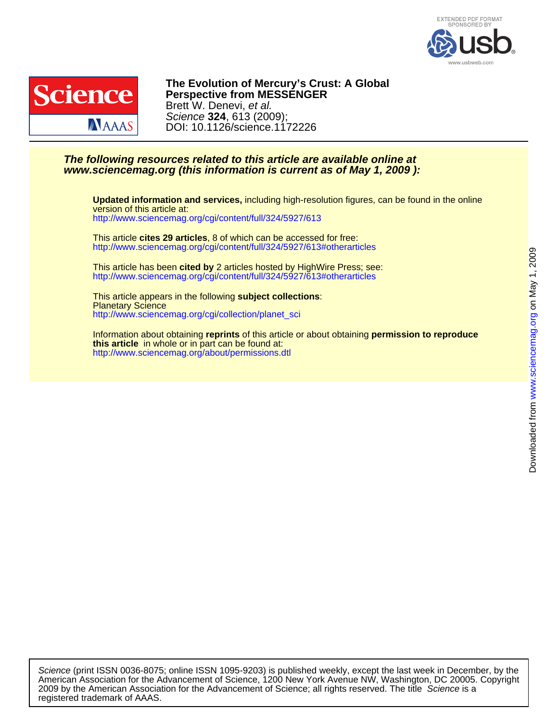



DOI: 10.1126/science.1172226 Science **324**, 613 (2009); Brett W. Denevi, et al. **Perspective from MESSENGER The Evolution of Mercury's Crust: A Global**

## **www.sciencemag.org (this information is current as of May 1, 2009 ): The following resources related to this article are available online at**

<http://www.sciencemag.org/cgi/content/full/324/5927/613> version of this article at: **Updated information and services,** including high-resolution figures, can be found in the online

<http://www.sciencemag.org/cgi/content/full/324/5927/613#otherarticles> This article **cites 29 articles**, 8 of which can be accessed for free:

<http://www.sciencemag.org/cgi/content/full/324/5927/613#otherarticles> This article has been **cited by** 2 articles hosted by HighWire Press; see:

[http://www.sciencemag.org/cgi/collection/planet\\_sci](http://www.sciencemag.org/cgi/collection/planet_sci) Planetary Science This article appears in the following **subject collections**:

<http://www.sciencemag.org/about/permissions.dtl> **this article** in whole or in part can be found at: Information about obtaining **reprints** of this article or about obtaining **permission to reproduce**

registered trademark of AAAS. 2009 by the American Association for the Advancement of Science; all rights reserved. The title Science is a American Association for the Advancement of Science, 1200 New York Avenue NW, Washington, DC 20005. Copyright Science (print ISSN 0036-8075; online ISSN 1095-9203) is published weekly, except the last week in December, by the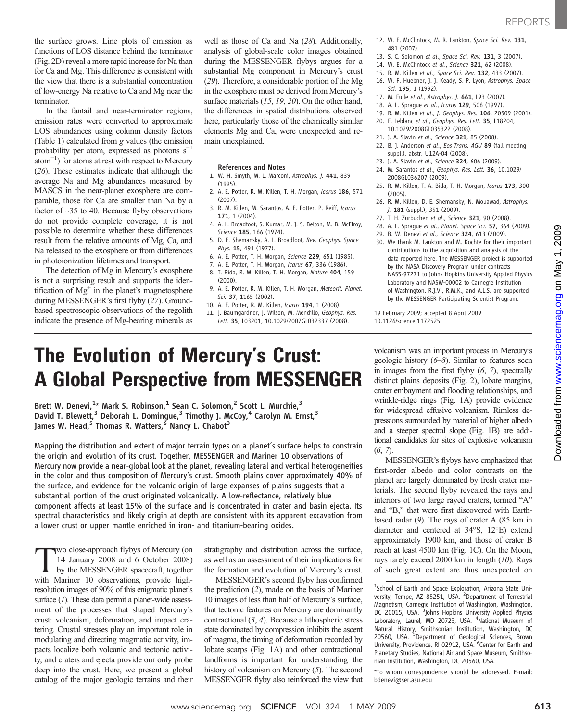the surface grows. Line plots of emission as functions of LOS distance behind the terminator (Fig. 2D) reveal a more rapid increase for Na than for Ca and Mg. This difference is consistent with the view that there is a substantial concentration of low-energy Na relative to Ca and Mg near the terminator.

In the fantail and near-terminator regions, emission rates were converted to approximate LOS abundances using column density factors (Table 1) calculated from g values (the emission probability per atom, expressed as photons  $s^{-1}$ atom−<sup>1</sup> ) for atoms at rest with respect to Mercury (26). These estimates indicate that although the average Na and Mg abundances measured by MASCS in the near-planet exosphere are comparable, those for Ca are smaller than Na by a factor of  $\sim$ 35 to 40. Because flyby observations do not provide complete coverage, it is not possible to determine whether these differences result from the relative amounts of Mg, Ca, and Na released to the exosphere or from differences in photoionization lifetimes and transport.

The detection of Mg in Mercury's exosphere is not a surprising result and supports the identification of  $Mg<sup>+</sup>$  in the planet's magnetosphere during MESSENGER's first flyby (27). Groundbased spectroscopic observations of the regolith indicate the presence of Mg-bearing minerals as well as those of Ca and Na (28). Additionally, analysis of global-scale color images obtained during the MESSENGER flybys argues for a substantial Mg component in Mercury's crust (29). Therefore, a considerable portion of the Mg in the exosphere must be derived from Mercury's surface materials (15, 19, 20). On the other hand, the differences in spatial distributions observed here, particularly those of the chemically similar elements Mg and Ca, were unexpected and remain unexplained.

#### References and Notes

- 1. W. H. Smyth, M. L. Marconi, Astrophys. J. 441, 839 (1995).
- 2. A. E. Potter, R. M. Killen, T. H. Morgan, Icarus 186, 571 (2007).
- 3. R. M. Killen, M. Sarantos, A. E. Potter, P. Reiff, Icarus 171, 1 (2004).
- 4. A. L. Broadfoot, S. Kumar, M. J. S. Belton, M. B. McElroy, Science 185, 166 (1974).
- 5. D. E. Shemansky, A. L. Broadfoot, Rev. Geophys. Space Phys. 15, 491 (1977).
- 6. A. E. Potter, T. H. Morgan, Science 229, 651 (1985).
- 7. A. E. Potter, T. H. Morgan, Icarus 67, 336 (1986).
- 8. T. Bida, R. M. Killen, T. H. Morgan, Nature 404, 159 (2000).
- 9. A. E. Potter, R. M. Killen, T. H. Morgan, Meteorit. Planet. Sci. 37, 1165 (2002).
- 10. A. E. Potter, R. M. Killen, Icarus 194, 1 (2008). 11. J. Baumgardner, J. Wilson, M. Mendillo, Geophys. Res.
- Lett. 35, L03201, 10.1029/2007GL032337 (2008).
- 12. W. E. McClintock, M. R. Lankton, Space Sci. Rev. 131, 481 (2007).
- 13. S. C. Solomon et al., Space Sci. Rev. 131, 3 (2007).
- 14. W. E. McClintock et al., Science 321, 62 (2008).
- 15. R. M. Killen et al., Space Sci. Rev. 132, 433 (2007).
- 16. W. F. Huebner, J. J. Keady, S. P. Lyon, Astrophys. Space Sci. 195, 1 (1992).
- 17. M. Fulle et al., Astrophys. J. 661, L93 (2007).
- 18. A. L. Sprague et al., Icarus 129, 506 (1997).
- 19. R. M. Killen et al., J. Geophys. Res. 106, 20509 (2001). 20. F. Leblanc et al., Geophys. Res. Lett. 35, L18204,
- 10.1029/2008GL035322 (2008).
- 21. J. A. Slavin et al., Science 321, 85 (2008).
- 22. B. J. Anderson et al., Eos Trans. AGU 89 (fall meeting suppl.), abstr. U12A-04 (2008).
- 23. J. A. Slavin et al., Science 324, 606 (2009).
- 24. M. Sarantos et al., Geophys. Res. Lett. 36, 10.1029/ 2008GL036207 (2009).
- 25. R. M. Killen, T. A. Bida, T. H. Morgan, Icarus 173, 300 (2005).
- 26. R. M. Killen, D. E. Shemansky, N. Mouawad, Astrophys. J. 181 (suppl.), 351 (2009).
- 27. T. H. Zurbuchen et al., Science 321, 90 (2008).
- 28. A. L. Sprague et al., Planet. Space Sci. 57, 364 (2009).
- 29. B. W. Denevi et al., Science 324, 613 (2009).
- 30. We thank M. Lankton and M. Kochte for their important contributions to the acquisition and analysis of the data reported here. The MESSENGER project is supported by the NASA Discovery Program under contracts NAS5-97271 to Johns Hopkins University Applied Physics Laboratory and NASW-00002 to Carnegie Institution of Washington. R.J.V., R.M.K., and A.L.S. are supported by the MESSENGER Participating Scientist Program.

19 February 2009; accepted 8 April 2009 10.1126/science.1172525

## The Evolution of Mercury's Crust: A Global Perspective from MESSENGER

Brett W. Denevi,<sup>1</sup>\* Mark S. Robinson,<sup>1</sup> Sean C. Solomon,<sup>2</sup> Scott L. Murchie,<sup>3</sup> David T. Blewett,<sup>3</sup> Deborah L. Domingue,<sup>3</sup> Timothy J. McCoy,<sup>4</sup> Carolyn M. Ernst,<sup>3</sup> James W. Head, $5$  Thomas R. Watters, $6$  Nancy L. Chabot<sup>3</sup>

Mapping the distribution and extent of major terrain types on a planet's surface helps to constrain the origin and evolution of its crust. Together, MESSENGER and Mariner 10 observations of Mercury now provide a near-global look at the planet, revealing lateral and vertical heterogeneities in the color and thus composition of Mercury's crust. Smooth plains cover approximately 40% of the surface, and evidence for the volcanic origin of large expanses of plains suggests that a substantial portion of the crust originated volcanically. A low-reflectance, relatively blue component affects at least 15% of the surface and is concentrated in crater and basin ejecta. Its spectral characteristics and likely origin at depth are consistent with its apparent excavation from a lower crust or upper mantle enriched in iron- and titanium-bearing oxides.

**TWO close-approach flybys of Mercury (on**<br>
14 January 2008 and 6 October 2008)<br>
by the MESSENGER spacecraft, together<br>
with Mariner 10 observations provide high-14 January 2008 and 6 October 2008) with Mariner 10 observations, provide highresolution images of 90% of this enigmatic planet's surface  $(I)$ . These data permit a planet-wide assessment of the processes that shaped Mercury's crust: volcanism, deformation, and impact cratering. Crustal stresses play an important role in modulating and directing magmatic activity, impacts localize both volcanic and tectonic activity, and craters and ejecta provide our only probe deep into the crust. Here, we present a global catalog of the major geologic terrains and their

stratigraphy and distribution across the surface, as well as an assessment of their implications for the formation and evolution of Mercury's crust.

MESSENGER's second flyby has confirmed the prediction (2), made on the basis of Mariner 10 images of less than half of Mercury's surface, that tectonic features on Mercury are dominantly contractional (3, 4). Because a lithospheric stress state dominated by compression inhibits the ascent of magma, the timing of deformation recorded by lobate scarps (Fig. 1A) and other contractional landforms is important for understanding the history of volcanism on Mercury (5). The second MESSENGER flyby also reinforced the view that

volcanism was an important process in Mercury's geologic history (6–8). Similar to features seen in images from the first flyby (6, 7), spectrally distinct plains deposits (Fig. 2), lobate margins, crater embayment and flooding relationships, and wrinkle-ridge rings (Fig. 1A) provide evidence for widespread effusive volcanism. Rimless depressions surrounded by material of higher albedo and a steeper spectral slope (Fig. 1B) are additional candidates for sites of explosive volcanism  $(6, 7)$ .

MESSENGER's flybys have emphasized that first-order albedo and color contrasts on the planet are largely dominated by fresh crater materials. The second flyby revealed the rays and interiors of two large rayed craters, termed "A" and "B," that were first discovered with Earthbased radar (9). The rays of crater A (85 km in diameter and centered at 34°S, 12°E) extend approximately 1900 km, and those of crater B reach at least 4500 km (Fig. 1C). On the Moon, rays rarely exceed 2000 km in length (10). Rays of such great extent are thus unexpected on

\*To whom correspondence should be addressed. E-mail: bdenevi@ser.asu.edu

<sup>&</sup>lt;sup>1</sup>School of Earth and Space Exploration, Arizona State University, Tempe, AZ 85251, USA. <sup>2</sup>Department of Terrestrial Magnetism, Carnegie Institution of Washington, Washington, DC 20015, USA. <sup>3</sup>Johns Hopkins University Applied Physics Laboratory, Laurel, MD 20723, USA. <sup>4</sup> National Museum of Natural History, Smithsonian Institution, Washington, DC<br>20560, USA. <sup>5</sup>Department of Geological Sciences, Brown University, Providence, RI 02912, USA. <sup>6</sup> Center for Earth and Planetary Studies, National Air and Space Museum, Smithsonian Institution, Washington, DC 20560, USA.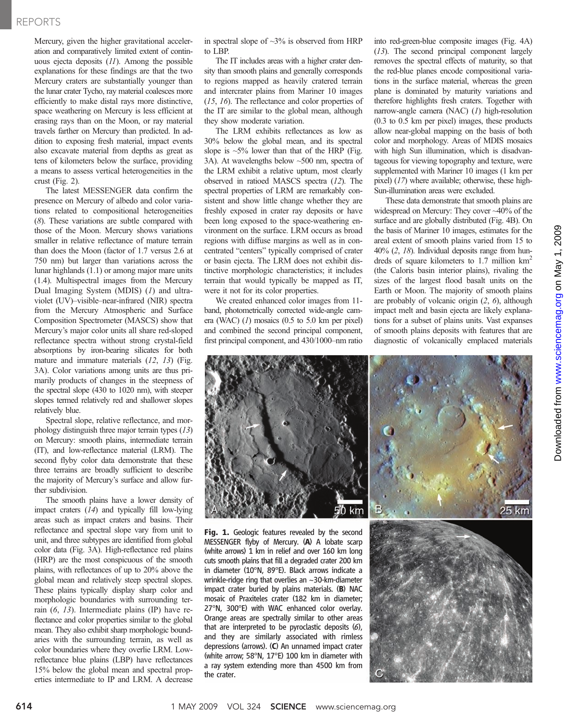### REPORTS

Mercury, given the higher gravitational acceleration and comparatively limited extent of continuous ejecta deposits  $(11)$ . Among the possible explanations for these findings are that the two Mercury craters are substantially younger than the lunar crater Tycho, ray material coalesces more efficiently to make distal rays more distinctive, space weathering on Mercury is less efficient at erasing rays than on the Moon, or ray material travels farther on Mercury than predicted. In addition to exposing fresh material, impact events also excavate material from depths as great as tens of kilometers below the surface, providing a means to assess vertical heterogeneities in the crust (Fig. 2).

The latest MESSENGER data confirm the presence on Mercury of albedo and color variations related to compositional heterogeneities (8). These variations are subtle compared with those of the Moon. Mercury shows variations smaller in relative reflectance of mature terrain than does the Moon (factor of 1.7 versus 2.6 at 750 nm) but larger than variations across the lunar highlands (1.1) or among major mare units (1.4). Multispectral images from the Mercury Dual Imaging System (MDIS) (1) and ultraviolet (UV)–visible–near-infrared (NIR) spectra from the Mercury Atmospheric and Surface Composition Spectrometer (MASCS) show that Mercury's major color units all share red-sloped reflectance spectra without strong crystal-field absorptions by iron-bearing silicates for both mature and immature materials (12, 13) (Fig. 3A). Color variations among units are thus primarily products of changes in the steepness of the spectral slope (430 to 1020 nm), with steeper slopes termed relatively red and shallower slopes relatively blue.

Spectral slope, relative reflectance, and morphology distinguish three major terrain types (13) on Mercury: smooth plains, intermediate terrain (IT), and low-reflectance material (LRM). The second flyby color data demonstrate that these three terrains are broadly sufficient to describe the majority of Mercury's surface and allow further subdivision.

The smooth plains have a lower density of impact craters (14) and typically fill low-lying areas such as impact craters and basins. Their reflectance and spectral slope vary from unit to unit, and three subtypes are identified from global color data (Fig. 3A). High-reflectance red plains (HRP) are the most conspicuous of the smooth plains, with reflectances of up to 20% above the global mean and relatively steep spectral slopes. These plains typically display sharp color and morphologic boundaries with surrounding terrain (6, 13). Intermediate plains (IP) have reflectance and color properties similar to the global mean. They also exhibit sharp morphologic boundaries with the surrounding terrain, as well as color boundaries where they overlie LRM. Lowreflectance blue plains (LBP) have reflectances 15% below the global mean and spectral properties intermediate to IP and LRM. A decrease

in spectral slope of  $\sim$ 3% is observed from HRP to LBP.

The IT includes areas with a higher crater density than smooth plains and generally corresponds to regions mapped as heavily cratered terrain and intercrater plains from Mariner 10 images (15, 16). The reflectance and color properties of the IT are similar to the global mean, although they show moderate variation.

The LRM exhibits reflectances as low as 30% below the global mean, and its spectral slope is  $\sim$ 5% lower than that of the HRP (Fig. 3A). At wavelengths below ~500 nm, spectra of the LRM exhibit a relative upturn, most clearly observed in ratioed MASCS spectra (12). The spectral properties of LRM are remarkably consistent and show little change whether they are freshly exposed in crater ray deposits or have been long exposed to the space-weathering environment on the surface. LRM occurs as broad regions with diffuse margins as well as in concentrated "centers" typically comprised of crater or basin ejecta. The LRM does not exhibit distinctive morphologic characteristics; it includes terrain that would typically be mapped as IT, were it not for its color properties.

We created enhanced color images from 11 band, photometrically corrected wide-angle camera (WAC)  $(1)$  mosaics  $(0.5$  to  $5.0$  km per pixel) and combined the second principal component, first principal component, and 430/1000–nm ratio

into red-green-blue composite images (Fig. 4A) (13). The second principal component largely removes the spectral effects of maturity, so that the red-blue planes encode compositional variations in the surface material, whereas the green plane is dominated by maturity variations and therefore highlights fresh craters. Together with narrow-angle camera (NAC) (1) high-resolution (0.3 to 0.5 km per pixel) images, these products allow near-global mapping on the basis of both color and morphology. Areas of MDIS mosaics with high Sun illumination, which is disadvantageous for viewing topography and texture, were supplemented with Mariner 10 images (1 km per pixel) (17) where available; otherwise, these high-Sun-illumination areas were excluded.

These data demonstrate that smooth plains are widespread on Mercury: They cover ~40% of the surface and are globally distributed (Fig. 4B). On the basis of Mariner 10 images, estimates for the areal extent of smooth plains varied from 15 to 40% (2, 18). Individual deposits range from hundreds of square kilometers to 1.7 million  $km<sup>2</sup>$ (the Caloris basin interior plains), rivaling the sizes of the largest flood basalt units on the Earth or Moon. The majority of smooth plains are probably of volcanic origin (2, 6), although impact melt and basin ejecta are likely explanations for a subset of plains units. Vast expanses of smooth plains deposits with features that are diagnostic of volcanically emplaced materials

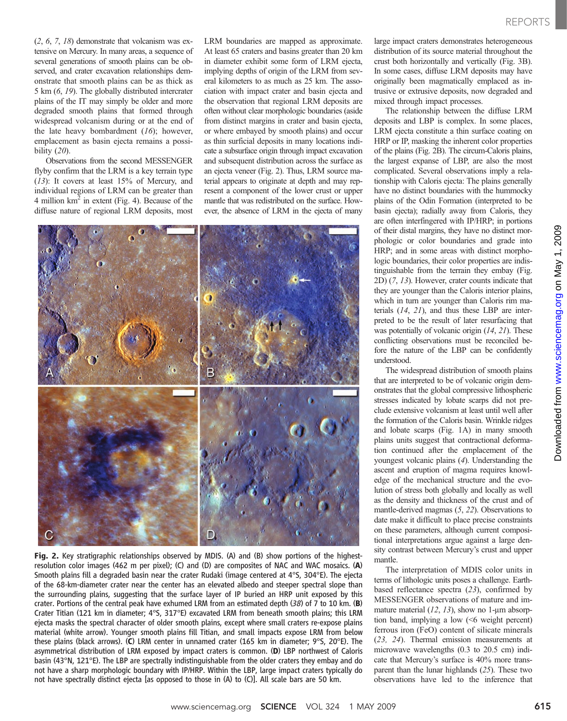(2, 6, 7, 18) demonstrate that volcanism was extensive on Mercury. In many areas, a sequence of several generations of smooth plains can be observed, and crater excavation relationships demonstrate that smooth plains can be as thick as 5 km (6, 19). The globally distributed intercrater plains of the IT may simply be older and more degraded smooth plains that formed through widespread volcanism during or at the end of the late heavy bombardment  $(16)$ ; however, emplacement as basin ejecta remains a possibility (20).

Observations from the second MESSENGER flyby confirm that the LRM is a key terrain type (13): It covers at least 15% of Mercury, and individual regions of LRM can be greater than 4 million  $km^2$  in extent (Fig. 4). Because of the diffuse nature of regional LRM deposits, most

LRM boundaries are mapped as approximate. At least 65 craters and basins greater than 20 km in diameter exhibit some form of LRM ejecta, implying depths of origin of the LRM from several kilometers to as much as 25 km. The association with impact crater and basin ejecta and the observation that regional LRM deposits are often without clear morphologic boundaries (aside from distinct margins in crater and basin ejecta, or where embayed by smooth plains) and occur as thin surficial deposits in many locations indicate a subsurface origin through impact excavation and subsequent distribution across the surface as an ejecta veneer (Fig. 2). Thus, LRM source material appears to originate at depth and may represent a component of the lower crust or upper mantle that was redistributed on the surface. However, the absence of LRM in the ejecta of many



Fig. 2. Key stratigraphic relationships observed by MDIS. (A) and (B) show portions of the highestresolution color images (462 m per pixel); (C) and (D) are composites of NAC and WAC mosaics. (A) Smooth plains fill a degraded basin near the crater Rudaki (image centered at 4°S, 304°E). The ejecta of the 68-km-diameter crater near the center has an elevated albedo and steeper spectral slope than the surrounding plains, suggesting that the surface layer of IP buried an HRP unit exposed by this crater. Portions of the central peak have exhumed LRM from an estimated depth  $(38)$  of 7 to 10 km. (B) Crater Titian (121 km in diameter; 4°S, 317°E) excavated LRM from beneath smooth plains; this LRM ejecta masks the spectral character of older smooth plains, except where small craters re-expose plains material (white arrow). Younger smooth plains fill Titian, and small impacts expose LRM from below these plains (black arrows). (C) LRM center in unnamed crater (165 km in diameter; 9°S, 20°E). The asymmetrical distribution of LRM exposed by impact craters is common. (D) LBP northwest of Caloris basin (43°N, 121°E). The LBP are spectrally indistinguishable from the older craters they embay and do not have a sharp morphologic boundary with IP/HRP. Within the LBP, large impact craters typically do not have spectrally distinct ejecta [as opposed to those in (A) to (C)]. All scale bars are 50 km.

large impact craters demonstrates heterogeneous distribution of its source material throughout the crust both horizontally and vertically (Fig. 3B). In some cases, diffuse LRM deposits may have originally been magmatically emplaced as intrusive or extrusive deposits, now degraded and mixed through impact processes.

The relationship between the diffuse LRM deposits and LBP is complex. In some places, LRM ejecta constitute a thin surface coating on HRP or IP, masking the inherent color properties of the plains (Fig. 2B). The circum-Caloris plains, the largest expanse of LBP, are also the most complicated. Several observations imply a relationship with Caloris ejecta: The plains generally have no distinct boundaries with the hummocky plains of the Odin Formation (interpreted to be basin ejecta); radially away from Caloris, they are often interfingered with IP/HRP; in portions of their distal margins, they have no distinct morphologic or color boundaries and grade into HRP; and in some areas with distinct morphologic boundaries, their color properties are indistinguishable from the terrain they embay (Fig. 2D) (7, 13). However, crater counts indicate that they are younger than the Caloris interior plains, which in turn are younger than Caloris rim materials (14, 21), and thus these LBP are interpreted to be the result of later resurfacing that was potentially of volcanic origin  $(14, 21)$ . These conflicting observations must be reconciled before the nature of the LBP can be confidently understood.

The widespread distribution of smooth plains that are interpreted to be of volcanic origin demonstrates that the global compressive lithospheric stresses indicated by lobate scarps did not preclude extensive volcanism at least until well after the formation of the Caloris basin. Wrinkle ridges and lobate scarps (Fig. 1A) in many smooth plains units suggest that contractional deformation continued after the emplacement of the youngest volcanic plains (4). Understanding the ascent and eruption of magma requires knowledge of the mechanical structure and the evolution of stress both globally and locally as well as the density and thickness of the crust and of mantle-derived magmas (5, 22). Observations to date make it difficult to place precise constraints on these parameters, although current compositional interpretations argue against a large density contrast between Mercury's crust and upper mantle.

The interpretation of MDIS color units in terms of lithologic units poses a challenge. Earthbased reflectance spectra (23), confirmed by MESSENGER observations of mature and immature material  $(12, 13)$ , show no 1-µm absorption band, implying a low (<6 weight percent) ferrous iron (FeO) content of silicate minerals (23, 24). Thermal emission measurements at microwave wavelengths (0.3 to 20.5 cm) indicate that Mercury's surface is 40% more transparent than the lunar highlands (25). These two observations have led to the inference that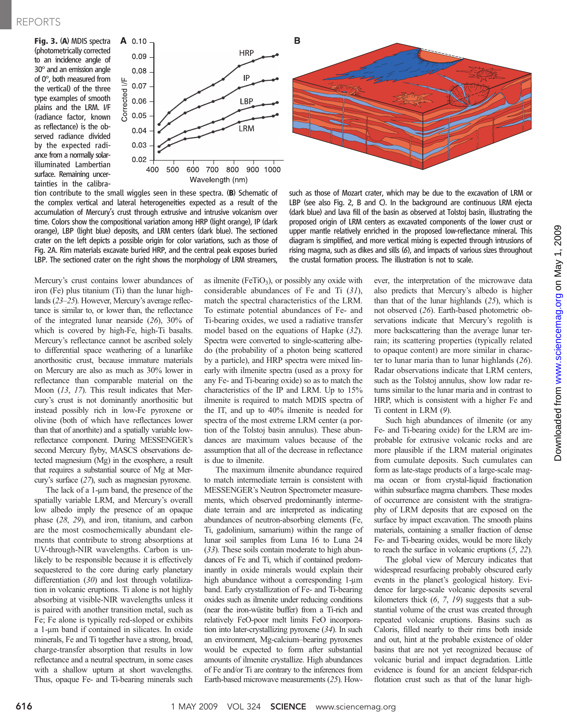Fig. 3. (A) MDIS spectra (photometrically corrected to an incidence angle of 30° and an emission angle of 0°, both measured from the vertical) of the three type examples of smooth plains and the LRM. I/F (radiance factor, known as reflectance) is the observed radiance divided by the expected radiance from a normally solarilluminated Lambertian surface. Remaining uncertainties in the calibra-



tion contribute to the small wiggles seen in these spectra. (B) Schematic of the complex vertical and lateral heterogeneities expected as a result of the accumulation of Mercury's crust through extrusive and intrusive volcanism over time. Colors show the compositional variation among HRP (light orange), IP (dark orange), LBP (light blue) deposits, and LRM centers (dark blue). The sectioned crater on the left depicts a possible origin for color variations, such as those of Fig. 2A. Rim materials excavate buried HRP, and the central peak exposes buried LBP. The sectioned crater on the right shows the morphology of LRM streamers,

Mercury's crust contains lower abundances of iron (Fe) plus titanium (Ti) than the lunar highlands (23–25). However, Mercury's average reflectance is similar to, or lower than, the reflectance of the integrated lunar nearside (26), 30% of which is covered by high-Fe, high-Ti basalts. Mercury's reflectance cannot be ascribed solely to differential space weathering of a lunarlike anorthositic crust, because immature materials on Mercury are also as much as 30% lower in reflectance than comparable material on the Moon (13, 17). This result indicates that Mercury's crust is not dominantly anorthositic but instead possibly rich in low-Fe pyroxene or olivine (both of which have reflectances lower than that of anorthite) and a spatially variable lowreflectance component. During MESSENGER's second Mercury flyby, MASCS observations detected magnesium (Mg) in the exosphere, a result that requires a substantial source of Mg at Mercury's surface (27), such as magnesian pyroxene.

The lack of a  $1$ -µm band, the presence of the spatially variable LRM, and Mercury's overall low albedo imply the presence of an opaque phase (28, 29), and iron, titanium, and carbon are the most cosmochemically abundant elements that contribute to strong absorptions at UV-through-NIR wavelengths. Carbon is unlikely to be responsible because it is effectively sequestered to the core during early planetary differentiation (30) and lost through volatilization in volcanic eruptions. Ti alone is not highly absorbing at visible-NIR wavelengths unless it is paired with another transition metal, such as Fe; Fe alone is typically red-sloped or exhibits a 1-um band if contained in silicates. In oxide minerals, Fe and Ti together have a strong, broad, charge-transfer absorption that results in low reflectance and a neutral spectrum, in some cases with a shallow upturn at short wavelengths. Thus, opaque Fe- and Ti-bearing minerals such

as ilmenite ( $FeTiO<sub>3</sub>$ ), or possibly any oxide with considerable abundances of Fe and Ti (31), match the spectral characteristics of the LRM. To estimate potential abundances of Fe- and Ti-bearing oxides, we used a radiative transfer model based on the equations of Hapke (32). Spectra were converted to single-scattering albedo (the probability of a photon being scattered by a particle), and HRP spectra were mixed linearly with ilmenite spectra (used as a proxy for any Fe- and Ti-bearing oxide) so as to match the characteristics of the IP and LRM. Up to 15% ilmenite is required to match MDIS spectra of the IT, and up to 40% ilmenite is needed for spectra of the most extreme LRM center (a portion of the Tolstoj basin annulus). These abundances are maximum values because of the assumption that all of the decrease in reflectance is due to ilmenite.

The maximum ilmenite abundance required to match intermediate terrain is consistent with MESSENGER's Neutron Spectrometer measurements, which observed predominantly intermediate terrain and are interpreted as indicating abundances of neutron-absorbing elements (Fe, Ti, gadolinium, samarium) within the range of lunar soil samples from Luna 16 to Luna 24 (33). These soils contain moderate to high abundances of Fe and Ti, which if contained predominantly in oxide minerals would explain their high abundance without a corresponding 1-um band. Early crystallization of Fe- and Ti-bearing oxides such as ilmenite under reducing conditions (near the iron-wüstite buffer) from a Ti-rich and relatively FeO-poor melt limits FeO incorporation into later-crystallizing pyroxene (34). In such an environment, Mg-calcium–bearing pyroxenes would be expected to form after substantial amounts of ilmenite crystallize. High abundances of Fe and/or Ti are contrary to the inferences from Earth-based microwave measurements (25). How-

such as those of Mozart crater, which may be due to the excavation of LRM or LBP (see also Fig. 2, B and C). In the background are continuous LRM ejecta (dark blue) and lava fill of the basin as observed at Tolstoj basin, illustrating the proposed origin of LRM centers as excavated components of the lower crust or upper mantle relatively enriched in the proposed low-reflectance mineral. This diagram is simplified, and more vertical mixing is expected through intrusions of rising magma, such as dikes and sills (6), and impacts of various sizes throughout the crustal formation process. The illustration is not to scale.

ever, the interpretation of the microwave data also predicts that Mercury's albedo is higher than that of the lunar highlands  $(25)$ , which is not observed (26). Earth-based photometric observations indicate that Mercury's regolith is more backscattering than the average lunar terrain; its scattering properties (typically related to opaque content) are more similar in character to lunar maria than to lunar highlands (26). Radar observations indicate that LRM centers, such as the Tolstoj annulus, show low radar returns similar to the lunar maria and in contrast to HRP, which is consistent with a higher Fe and Ti content in LRM (9).

Such high abundances of ilmenite (or any Fe- and Ti-bearing oxide) for the LRM are improbable for extrusive volcanic rocks and are more plausible if the LRM material originates from cumulate deposits. Such cumulates can form as late-stage products of a large-scale magma ocean or from crystal-liquid fractionation within subsurface magma chambers. These modes of occurrence are consistent with the stratigraphy of LRM deposits that are exposed on the surface by impact excavation. The smooth plains materials, containing a smaller fraction of dense Fe- and Ti-bearing oxides, would be more likely to reach the surface in volcanic eruptions (5, 22).

The global view of Mercury indicates that widespread resurfacing probably obscured early events in the planet's geological history. Evidence for large-scale volcanic deposits several kilometers thick (6, 7, 19) suggests that a substantial volume of the crust was created through repeated volcanic eruptions. Basins such as Caloris, filled nearly to their rims both inside and out, hint at the probable existence of older basins that are not yet recognized because of volcanic burial and impact degradation. Little evidence is found for an ancient feldspar-rich flotation crust such as that of the lunar high-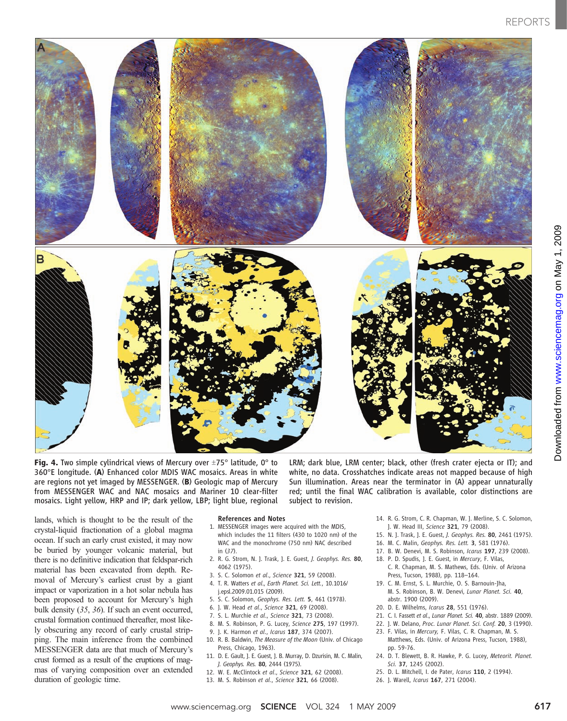

**Fig. 4.** Two simple cylindrical views of Mercury over  $\pm$ 75° latitude, 0° to 360°E longitude. (A) Enhanced color MDIS WAC mosaics. Areas in white are regions not yet imaged by MESSENGER. (B) Geologic map of Mercury from MESSENGER WAC and NAC mosaics and Mariner 10 clear-filter mosaics. Light yellow, HRP and IP; dark yellow, LBP; light blue, regional

LRM; dark blue, LRM center; black, other (fresh crater ejecta or IT); and white, no data. Crosshatches indicate areas not mapped because of high Sun illumination. Areas near the terminator in (A) appear unnaturally red; until the final WAC calibration is available, color distinctions are subject to revision.

lands, which is thought to be the result of the crystal-liquid fractionation of a global magma ocean. If such an early crust existed, it may now be buried by younger volcanic material, but there is no definitive indication that feldspar-rich material has been excavated from depth. Removal of Mercury's earliest crust by a giant impact or vaporization in a hot solar nebula has been proposed to account for Mercury's high bulk density (35, 36). If such an event occurred, crustal formation continued thereafter, most likely obscuring any record of early crustal stripping. The main inference from the combined MESSENGER data are that much of Mercury's crust formed as a result of the eruptions of magmas of varying composition over an extended duration of geologic time.

#### References and Notes

- 1. MESSENGER images were acquired with the MDIS, which includes the 11 filters (430 to 1020 nm) of the WAC and the monochrome (750 nm) NAC described in (37).
- 2. R. G. Strom, N. J. Trask, J. E. Guest, J. Geophys. Res. 80, 4062 (1975).
- 3. S. C. Solomon et al., Science 321, 59 (2008).
- 4. T. R. Watters et al., Earth Planet. Sci. Lett., 10.1016/ j.epsl.2009.01.015 (2009).
- 5. S. C. Solomon, Geophys. Res. Lett. 5, 461 (1978).
- 6. J. W. Head et al., Science 321, 69 (2008).
- 7. S. L. Murchie et al., Science 321, 73 (2008).
- 8. M. S. Robinson, P. G. Lucey, Science 275, 197 (1997).
- 9. J. K. Harmon et al., Icarus 187, 374 (2007).
- 10. R. B. Baldwin, The Measure of the Moon (Univ. of Chicago
- Press, Chicago, 1963). 11. D. E. Gault, J. E. Guest, J. B. Murray, D. Dzurisin, M. C. Malin, J. Geophys. Res. 80, 2444 (1975).
- 12. W. E. McClintock et al., Science 321, 62 (2008).
- 13. M. S. Robinson et al., Science 321, 66 (2008).
- - 14. R. G. Strom, C. R. Chapman, W. J. Merline, S. C. Solomon, J. W. Head III, Science 321, 79 (2008).
	- 15. N. J. Trask, J. E. Guest, J. Geophys. Res. 80, 2461 (1975).
	- 16. M. C. Malin, Geophys. Res. Lett. 3, 581 (1976).
	- 17. B. W. Denevi, M. S. Robinson, Icarus 197, 239 (2008).
	- 18. P. D. Spudis, J. E. Guest, in Mercury, F. Vilas, C. R. Chapman, M. S. Mathews, Eds. (Univ. of Arizona
	- Press, Tucson, 1988), pp. 118–164. 19. C. M. Ernst, S. L. Murchie, O. S. Barnouin-Jha,
	- M. S. Robinson, B. W. Denevi, Lunar Planet. Sci. 40, abstr. 1900 (2009).
	- 20. D. E. Wilhelms, Icarus 28, 551 (1976).
	- 21. C. I. Fassett et al., Lunar Planet. Sci. 40, abstr. 1889 (2009).
	- 22. J. W. Delano, Proc. Lunar Planet. Sci. Conf. 20, 3 (1990).
	- 23. F. Vilas, in Mercury, F. Vilas, C. R. Chapman, M. S. Matthews, Eds. (Univ. of Arizona Press, Tucson, 1988), pp. 59-76.
	- 24. D. T. Blewett, B. R. Hawke, P. G. Lucey, Meteorit. Planet. Sci. 37, 1245 (2002).
	- 25. D. L. Mitchell, I. de Pater, Icarus 110, 2 (1994).
	- 26. J. Warell, Icarus 167, 271 (2004).